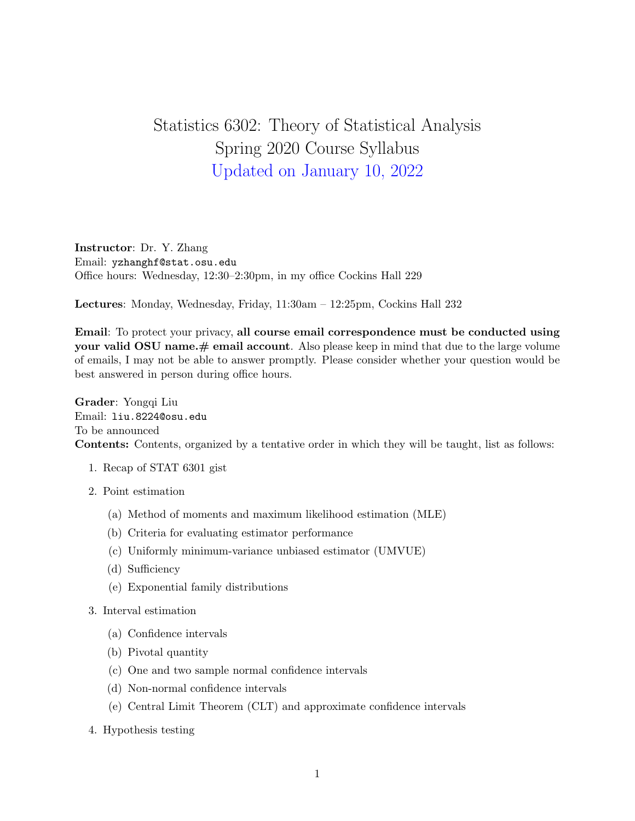## Statistics 6302: Theory of Statistical Analysis Spring 2020 Course Syllabus Updated on January 10, 2022

Instructor: Dr. Y. Zhang Email: yzhanghf@stat.osu.edu Office hours: Wednesday, 12:30–2:30pm, in my office Cockins Hall 229

Lectures: Monday, Wednesday, Friday, 11:30am – 12:25pm, Cockins Hall 232

Email: To protect your privacy, all course email correspondence must be conducted using your valid  $OSU$  name.  $\#$  email account. Also please keep in mind that due to the large volume of emails, I may not be able to answer promptly. Please consider whether your question would be best answered in person during office hours.

Grader: Yongqi Liu Email: liu.8224@osu.edu To be announced Contents: Contents, organized by a tentative order in which they will be taught, list as follows:

- 1. Recap of STAT 6301 gist
- 2. Point estimation
	- (a) Method of moments and maximum likelihood estimation (MLE)
	- (b) Criteria for evaluating estimator performance
	- (c) Uniformly minimum-variance unbiased estimator (UMVUE)
	- (d) Sufficiency
	- (e) Exponential family distributions
- 3. Interval estimation
	- (a) Confidence intervals
	- (b) Pivotal quantity
	- (c) One and two sample normal confidence intervals
	- (d) Non-normal confidence intervals
	- (e) Central Limit Theorem (CLT) and approximate confidence intervals
- 4. Hypothesis testing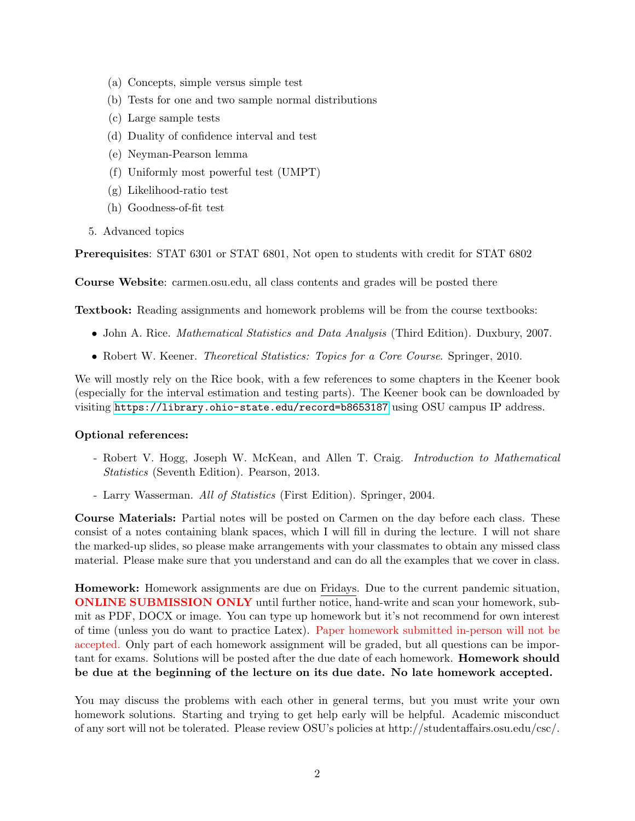- (a) Concepts, simple versus simple test
- (b) Tests for one and two sample normal distributions
- (c) Large sample tests
- (d) Duality of confidence interval and test
- (e) Neyman-Pearson lemma
- (f) Uniformly most powerful test (UMPT)
- (g) Likelihood-ratio test
- (h) Goodness-of-fit test
- 5. Advanced topics

Prerequisites: STAT 6301 or STAT 6801, Not open to students with credit for STAT 6802

Course Website: carmen.osu.edu, all class contents and grades will be posted there

Textbook: Reading assignments and homework problems will be from the course textbooks:

- John A. Rice. *Mathematical Statistics and Data Analysis* (Third Edition). Duxbury, 2007.
- Robert W. Keener. *Theoretical Statistics: Topics for a Core Course*. Springer, 2010.

We will mostly rely on the Rice book, with a few references to some chapters in the Keener book (especially for the interval estimation and testing parts). The Keener book can be downloaded by visiting <https://library.ohio-state.edu/record=b8653187> using OSU campus IP address.

## Optional references:

- Robert V. Hogg, Joseph W. McKean, and Allen T. Craig. Introduction to Mathematical Statistics (Seventh Edition). Pearson, 2013.
- Larry Wasserman. All of Statistics (First Edition). Springer, 2004.

Course Materials: Partial notes will be posted on Carmen on the day before each class. These consist of a notes containing blank spaces, which I will fill in during the lecture. I will not share the marked-up slides, so please make arrangements with your classmates to obtain any missed class material. Please make sure that you understand and can do all the examples that we cover in class.

Homework: Homework assignments are due on Fridays. Due to the current pandemic situation, ONLINE SUBMISSION ONLY until further notice, hand-write and scan your homework, submit as PDF, DOCX or image. You can type up homework but it's not recommend for own interest of time (unless you do want to practice Latex). Paper homework submitted in-person will not be accepted. Only part of each homework assignment will be graded, but all questions can be important for exams. Solutions will be posted after the due date of each homework. Homework should be due at the beginning of the lecture on its due date. No late homework accepted.

You may discuss the problems with each other in general terms, but you must write your own homework solutions. Starting and trying to get help early will be helpful. Academic misconduct of any sort will not be tolerated. Please review OSU's policies at http://studentaffairs.osu.edu/csc/.